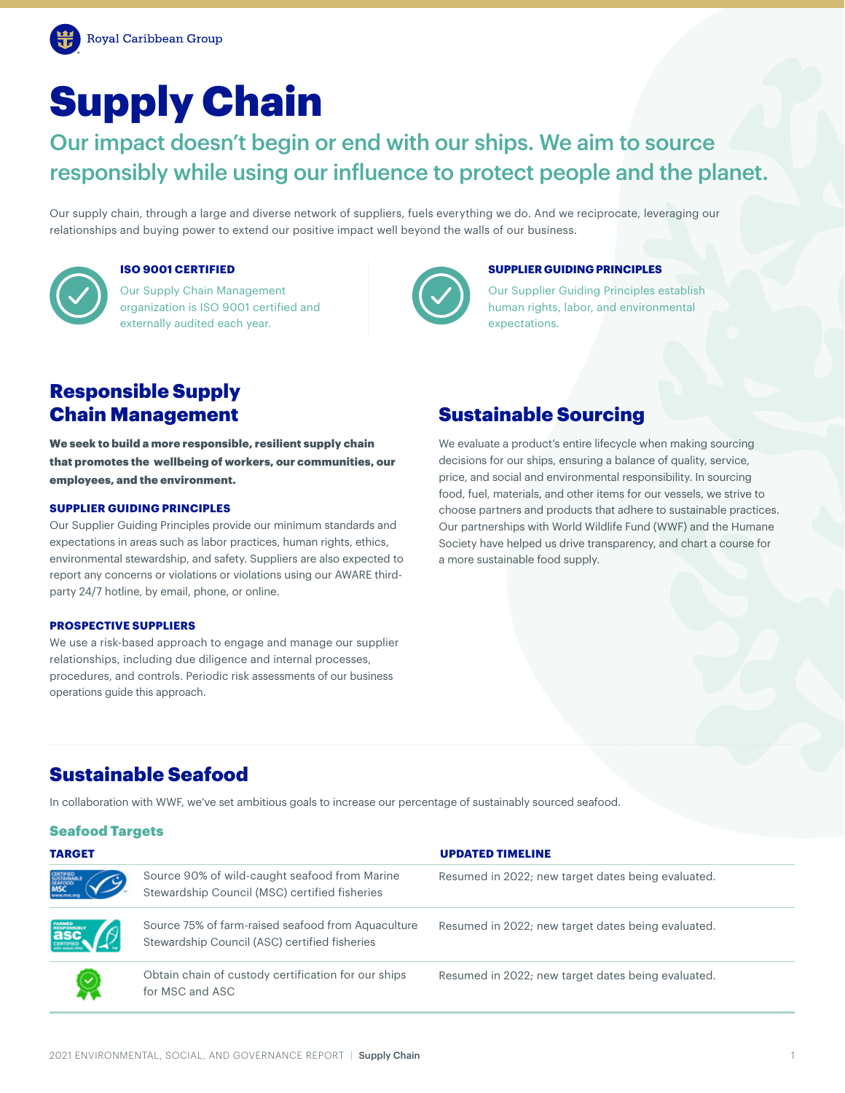# Supply Chain

Our impact doesn't begin or end with our ships. We aim to source responsibly while using our influence to protect people and the planet.

Our supply chain, through a large and diverse network of suppliers, fuels everything we do. And we reciprocate, leveraging our relationships and buying power to extend our positive impact well beyond the walls of our business.



## **ISO 9001 CERTIFIED**

Our Supply Chain Management organization is ISO 9001 certified and externally audited each year.



#### **SUPPLIER GUIDING PRINCIPLES**

Our Supplier Guiding Principles establish human rights, labor, and environmental expectations.

# Responsible Supply

We seek to build a more responsible, resilient supply chain that promotes the wellbeing of workers, our communities, our employees, and the environment.

### **SUPPLIER GUIDING PRINCIPLES**

Our Supplier Guiding Principles provide our minimum standards and expectations in areas such as labor practices, human rights, ethics, environmental stewardship, and safety. Suppliers are also expected to report any concerns or violations or violations using our AWARE thirdparty 24/7 hotline, by email, phone, or online.

#### **PROSPECTIVE SUPPLIERS**

We use a risk-based approach to engage and manage our supplier relationships, including due diligence and internal processes, procedures, and controls. Periodic risk assessments of our business operations guide this approach.

## **Chain Management Sustainable Sourcing**

We evaluate a product's entire lifecycle when making sourcing decisions for our ships, ensuring a balance of quality, service, price, and social and environmental responsibility. In sourcing food, fuel, materials, and other items for our vessels, we strive to choose partners and products that adhere to sustainable practices. Our partnerships with World Wildlife Fund (WWF) and the Humane Society have helped us drive transparency, and chart a course for a more sustainable food supply.

# Sustainable Seafood

In collaboration with WWF, we've set ambitious goals to increase our percentage of sustainably sourced seafood.

### Seafood Targets

| <b>TARGET</b>                                     |                                                                                                     | <b>UPDATED TIMELINE</b>                            |
|---------------------------------------------------|-----------------------------------------------------------------------------------------------------|----------------------------------------------------|
| CERTIFIED<br>SUSTAINABLE<br>SEAFOCO<br><b>MSC</b> | Source 90% of wild-caught seafood from Marine<br>Stewardship Council (MSC) certified fisheries      | Resumed in 2022; new target dates being evaluated. |
| <b>asc.</b>                                       | Source 75% of farm-raised seafood from Aquaculture<br>Stewardship Council (ASC) certified fisheries | Resumed in 2022; new target dates being evaluated. |
|                                                   | Obtain chain of custody certification for our ships<br>for MSC and ASC                              | Resumed in 2022; new target dates being evaluated. |